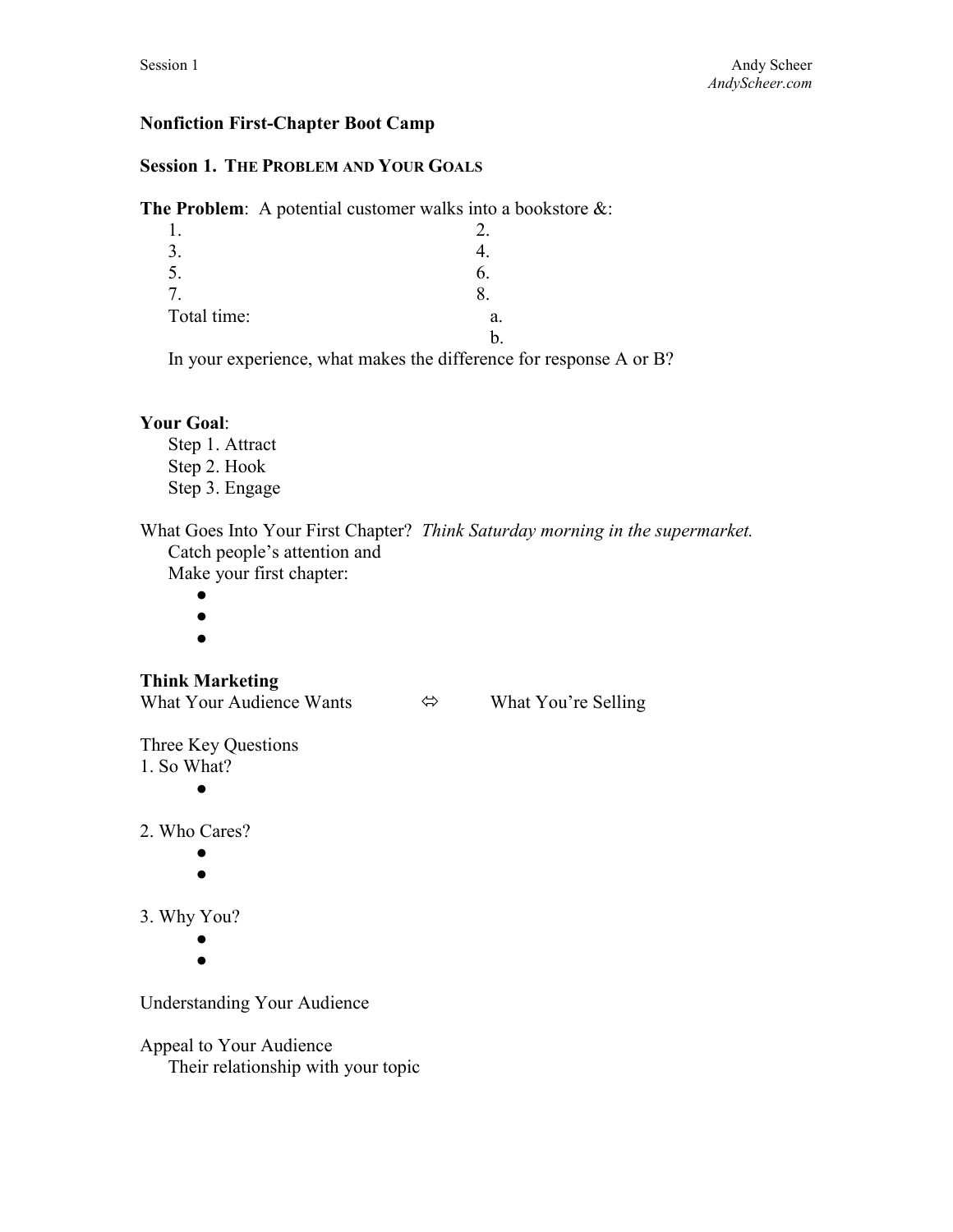## **Nonfiction First-Chapter Boot Camp**

## **Session 1. THE PROBLEM AND YOUR GOALS**

**The Problem**: A potential customer walks into a bookstore &:

| 1.          |    |  |
|-------------|----|--|
| 3.          |    |  |
| 5.          | b. |  |
| 7.          |    |  |
| Total time: | a. |  |
|             |    |  |
|             |    |  |

In your experience, what makes the difference for response A or B?

#### **Your Goal**:

Step 1. Attract Step 2. Hook Step 3. Engage

What Goes Into Your First Chapter? *Think Saturday morning in the supermarket.*  Catch people's attention and Make your first chapter:

- $\bullet$ 
	- ●
	- $\bullet$

# **Think Marketing**

What Your Audience Wants  $\Leftrightarrow$  What You're Selling

Three Key Questions 1. So What?

●

2. Who Cares?

- $\bullet$
- ●

3. Why You?

●

 $\bullet$ 

Understanding Your Audience

Appeal to Your Audience Their relationship with your topic